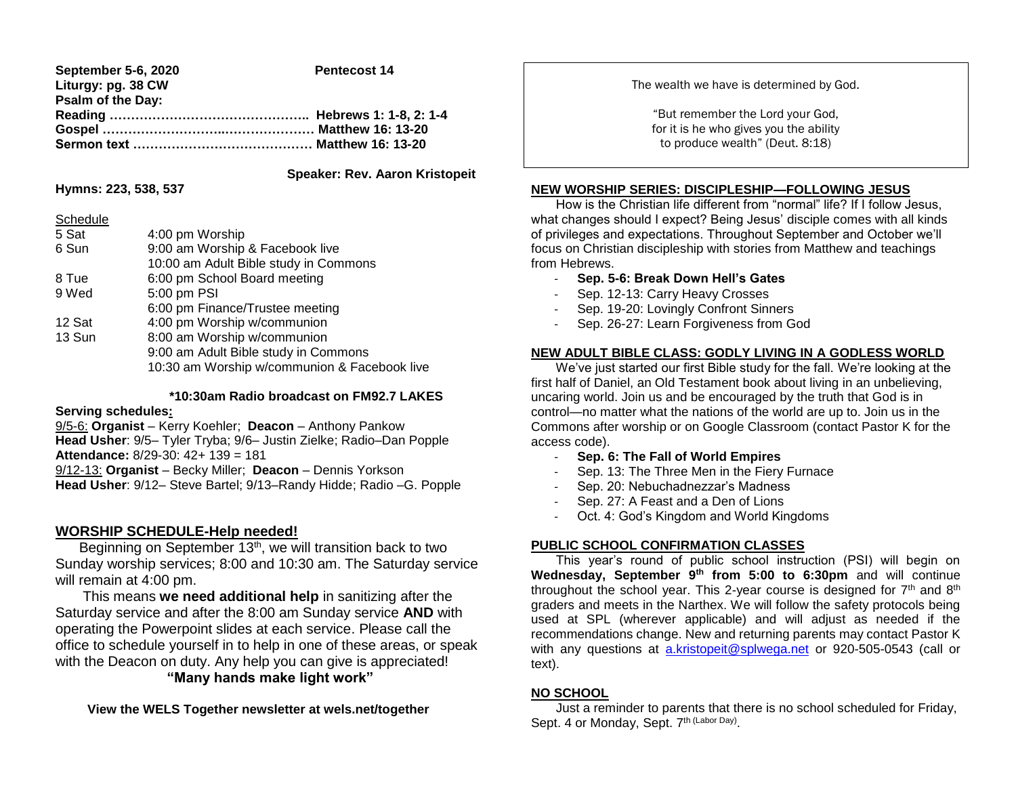| September 5-6, 2020 | <b>Pentecost 14</b> |
|---------------------|---------------------|
| Liturgy: pg. 38 CW  |                     |
| Psalm of the Day:   |                     |
|                     |                     |
|                     |                     |
|                     |                     |

### **Speaker: Rev. Aaron Kristopeit**

#### **Hymns: 223, 538, 537**

Schedule

| Scriedule |                                              |
|-----------|----------------------------------------------|
| 5 Sat     | 4:00 pm Worship                              |
| 6 Sun     | 9:00 am Worship & Facebook live              |
|           | 10:00 am Adult Bible study in Commons        |
| 8 Tue     | 6:00 pm School Board meeting                 |
| 9 Wed     | 5:00 pm PSI                                  |
|           | 6:00 pm Finance/Trustee meeting              |
| 12 Sat    | 4:00 pm Worship w/communion                  |
| 13 Sun    | 8:00 am Worship w/communion                  |
|           | 9:00 am Adult Bible study in Commons         |
|           | 10:30 am Worship w/communion & Facebook live |
|           |                                              |

### **\*10:30am Radio broadcast on FM92.7 LAKES**

#### **Serving schedules:**

9/5-6: **Organist** – Kerry Koehler; **Deacon** – Anthony Pankow **Head Usher**: 9/5– Tyler Tryba; 9/6– Justin Zielke; Radio–Dan Popple **Attendance:** 8/29-30: 42+ 139 = 181 9/12-13: **Organist** – Becky Miller; **Deacon** – Dennis Yorkson **Head Usher**: 9/12– Steve Bartel; 9/13–Randy Hidde; Radio –G. Popple

# **WORSHIP SCHEDULE-Help needed!**

Beginning on September 13<sup>th</sup>, we will transition back to two Sunday worship services; 8:00 and 10:30 am. The Saturday service will remain at 4:00 pm.

 This means **we need additional help** in sanitizing after the Saturday service and after the 8:00 am Sunday service **AND** with operating the Powerpoint slides at each service. Please call the office to schedule yourself in to help in one of these areas, or speak with the Deacon on duty. Any help you can give is appreciated! **"Many hands make light work"**

 **View the WELS Together newsletter at wels.net/together**

The wealth we have is determined by God.

"But remember the Lord your God, for it is he who gives you the ability to produce wealth" (Deut. 8:18)

### **NEW WORSHIP SERIES: DISCIPLESHIP—FOLLOWING JESUS**

 How is the Christian life different from "normal" life? If I follow Jesus, what changes should I expect? Being Jesus' disciple comes with all kinds of privileges and expectations. Throughout September and October we'll focus on Christian discipleship with stories from Matthew and teachings from Hebrews.

- **Sep. 5-6: Break Down Hell's Gates**
- Sep. 12-13: Carry Heavy Crosses
- Sep. 19-20: Lovingly Confront Sinners
- Sep. 26-27: Learn Forgiveness from God

#### **NEW ADULT BIBLE CLASS: GODLY LIVING IN A GODLESS WORLD**

 We've just started our first Bible study for the fall. We're looking at the first half of Daniel, an Old Testament book about living in an unbelieving, uncaring world. Join us and be encouraged by the truth that God is in control—no matter what the nations of the world are up to. Join us in the Commons after worship or on Google Classroom (contact Pastor K for the access code).

- **Sep. 6: The Fall of World Empires**
- Sep. 13: The Three Men in the Fiery Furnace
- Sep. 20: Nebuchadnezzar's Madness
- Sep. 27: A Feast and a Den of Lions
- Oct. 4: God's Kingdom and World Kingdoms

# **PUBLIC SCHOOL CONFIRMATION CLASSES**

 This year's round of public school instruction (PSI) will begin on **Wednesday, September 9th from 5:00 to 6:30pm** and will continue throughout the school year. This 2-year course is designed for  $7<sup>th</sup>$  and  $8<sup>th</sup>$ graders and meets in the Narthex. We will follow the safety protocols being used at SPL (wherever applicable) and will adjust as needed if the recommendations change. New and returning parents may contact Pastor K with any questions at [a.kristopeit@splwega.net](mailto:a.kristopeit@splwega.net) or 920-505-0543 (call or text).

# **NO SCHOOL**

I

 Just a reminder to parents that there is no school scheduled for Friday, Sept. 4 or Monday, Sept. 7<sup>th (Labor Day)</sup>.